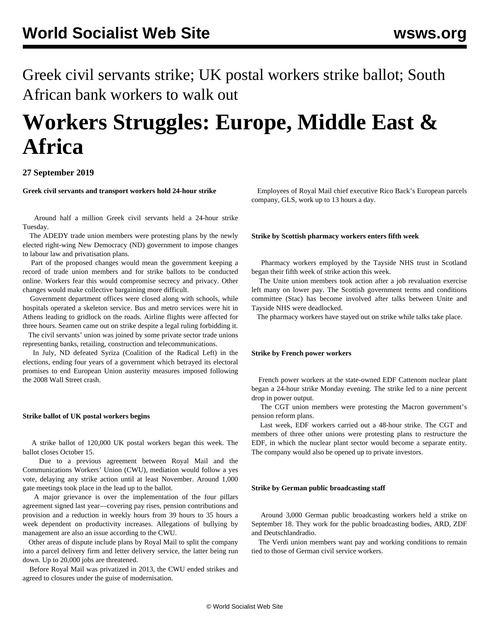Greek civil servants strike; UK postal workers strike ballot; South African bank workers to walk out

# **Workers Struggles: Europe, Middle East & Africa**

# **27 September 2019**

**Greek civil servants and transport workers hold 24-hour strike**

 Around half a million Greek civil servants held a 24-hour strike Tuesday.

 The ADEDY trade union members were protesting plans by the newly elected right-wing New Democracy (ND) government to impose changes to labour law and privatisation plans.

 Part of the proposed changes would mean the government keeping a record of trade union members and for strike ballots to be conducted online. Workers fear this would compromise secrecy and privacy. Other changes would make collective bargaining more difficult.

 Government department offices were closed along with schools, while hospitals operated a skeleton service. Bus and metro services were hit in Athens leading to gridlock on the roads. Airline flights were affected for three hours. Seamen came out on strike despite a legal ruling forbidding it.

 The civil servants' union was joined by some private sector trade unions representing banks, retailing, construction and telecommunications.

 In July, ND defeated Syriza (Coalition of the Radical Left) in the elections, ending four years of a government which betrayed its electoral promises to end European Union austerity measures imposed following the 2008 Wall Street crash.

#### **Strike ballot of UK postal workers begins**

 A strike ballot of 120,000 UK postal workers began this week. The ballot closes October 15.

 Due to a previous agreement between Royal Mail and the Communications Workers' Union (CWU), mediation would follow a yes vote, delaying any strike action until at least November. Around 1,000 gate meetings took place in the lead up to the ballot.

 A major grievance is over the implementation of the four pillars agreement signed last year—covering pay rises, pension contributions and provision and a reduction in weekly hours from 39 hours to 35 hours a week dependent on productivity increases. Allegations of bullying by management are also an issue according to the CWU.

 Other areas of dispute include plans by Royal Mail to split the company into a parcel delivery firm and letter delivery service, the latter being run down. Up to 20,000 jobs are threatened.

 Before Royal Mail was privatized in 2013, the CWU ended strikes and agreed to closures under the guise of modernisation.

 Employees of Royal Mail chief executive Rico Back's European parcels company, GLS, work up to 13 hours a day.

#### **Strike by Scottish pharmacy workers enters fifth week**

 Pharmacy workers employed by the Tayside NHS trust in Scotland began their fifth week of strike action this week.

 The Unite union members took action after a job revaluation exercise left many on lower pay. The Scottish government terms and conditions committee (Stac) has become involved after talks between Unite and Tayside NHS were deadlocked.

The pharmacy workers have stayed out on strike while talks take place.

#### **Strike by French power workers**

 French power workers at the state-owned EDF Cattenom nuclear plant began a 24-hour strike Monday evening. The strike led to a nine percent drop in power output.

 The CGT union members were protesting the Macron government's pension reform plans.

 Last week, EDF workers carried out a 48-hour strike. The CGT and members of three other unions were protesting plans to restructure the EDF, in which the nuclear plant sector would become a separate entity. The company would also be opened up to private investors.

### **Strike by German public broadcasting staff**

 Around 3,000 German public broadcasting workers held a strike on September 18. They work for the public broadcasting bodies, ARD, ZDF and Deutschlandradio.

 The Verdi union members want pay and working conditions to remain tied to those of German civil service workers.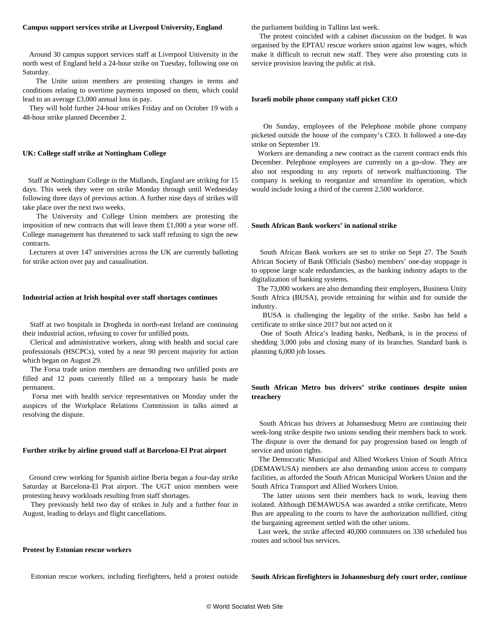#### **Campus support services strike at Liverpool University, England**

 Around 30 campus support services staff at Liverpool University in the north west of England held a 24-hour strike on Tuesday, following one on Saturday.

 The Unite union members are protesting changes in terms and conditions relating to overtime payments imposed on them, which could lead to an average £3,000 annual loss in pay.

 They will hold further 24-hour strikes Friday and on October 19 with a 48-hour strike planned December 2.

#### **UK: College staff strike at Nottingham College**

 Staff at Nottingham College in the Midlands, England are striking for 15 days. This week they were on strike Monday through until Wednesday following three days of previous action. A further nine days of strikes will take place over the next two weeks.

 The University and College Union members are protesting the imposition of new contracts that will leave them £1,000 a year worse off. College management has threatened to sack staff refusing to sign the new contracts.

 Lecturers at over 147 universities across the UK are currently balloting for strike action over pay and casualisation.

#### **Industrial action at Irish hospital over staff shortages continues**

 Staff at two hospitals in Drogheda in north-east Ireland are continuing their industrial action, refusing to cover for unfilled posts.

 Clerical and administrative workers, along with health and social care professionals (HSCPCs), voted by a near 90 percent majority for action which began on August 29.

 The Forsa trade union members are demanding two unfilled posts are filled and 12 posts currently filled on a temporary basis be made permanent.

 Forsa met with health service representatives on Monday under the auspices of the Workplace Relations Commission in talks aimed at resolving the dispute.

#### **Further strike by airline ground staff at Barcelona-El Prat airport**

 Ground crew working for Spanish airline Iberia began a four-day strike Saturday at Barcelona-El Prat airport. The UGT union members were protesting heavy workloads resulting from staff shortages.

 They previously held two day of strikes in July and a further four in August, leading to delays and flight cancellations.

#### **Protest by Estonian rescue workers**

Estonian rescue workers, including firefighters, held a protest outside

the parliament building in Tallinn last week.

 The protest coincided with a cabinet discussion on the budget. It was organised by the EPTAU rescue workers union against low wages, which make it difficult to recruit new staff. They were also protesting cuts in service provision leaving the public at risk.

#### **Israeli mobile phone company staff picket CEO**

 On Sunday, employees of the Pelephone mobile phone company picketed outside the house of the company's CEO. It followed a one-day strike on September 19.

 Workers are demanding a new contract as the current contract ends this December. Pelephone employees are currently on a go-slow. They are also not responding to any reports of network malfunctioning. The company is seeking to reorganize and streamline its operation, which would include losing a third of the current 2,500 workforce.

#### **South African Bank workers' in national strike**

 South African Bank workers are set to strike on Sept 27. The South African Society of Bank Officials (Sasbo) members' one-day stoppage is to oppose large scale redundancies, as the banking industry adapts to the digitalization of banking systems.

 The 73,000 workers are also demanding their employers, Business Unity South Africa (BUSA), provide retraining for within and for outside the industry.

 BUSA is challenging the legality of the strike. Sasbo has held a certificate to strike since 2017 but not acted on it

 One of South Africa's leading banks, Nedbank, is in the process of shedding 3,000 jobs and closing many of its branches. Standard bank is planning 6,000 job losses.

## **South African Metro bus drivers' strike continues despite union treachery**

 South African bus drivers at Johannesburg Metro are continuing their week-long strike despite two unions sending their members back to work. The dispute is over the demand for pay progression based on length of service and union rights.

 The Democratic Municipal and Allied Workers Union of South Africa (DEMAWUSA) members are also demanding union access to company facilities, as afforded the South African Municipal Workers Union and the South Africa Transport and Allied Workers Union.

 The latter unions sent their members back to work, leaving them isolated. Although DEMAWUSA was awarded a strike certificate, Metro Bus are appealing to the courts to have the authorization nullified, citing the bargaining agreement settled with the other unions.

 Last week, the strike affected 40,000 commuters on 330 scheduled bus routes and school bus services.

**South African firefighters in Johannesburg defy court order, continue**